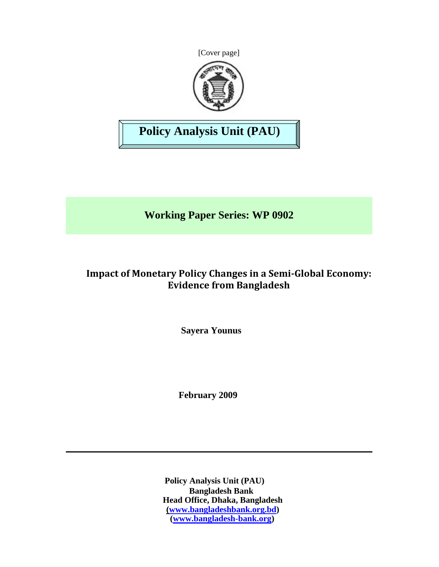[Cover page]



# **Policy Analysis Unit (PAU)**

**Working Paper Series: WP 0902**

## **Impact of Monetary Policy Changes in a SemiGlobal Economy: Evidence from Bangladesh**

**Sayera Younus**

**February 2009**

**Policy Analysis Unit (PAU) Bangladesh Bank Head Office, Dhaka, Bangladesh (www.bangladeshbank.org.bd) (www.bangladesh-bank.org)**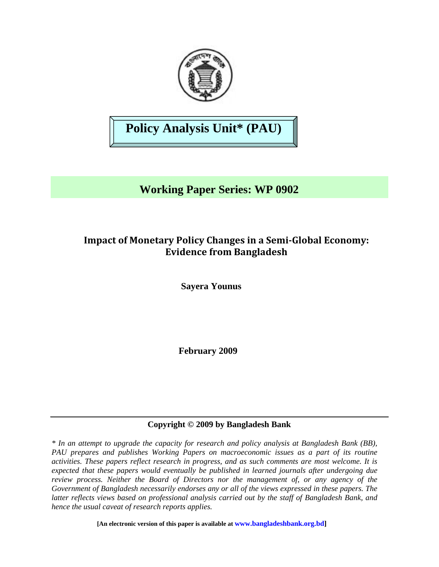

# **Policy Analysis Unit\* (PAU)**

# **Working Paper Series: WP 0902**

### **Impact of Monetary Policy Changes in a SemiGlobal Economy: Evidence from Bangladesh**

**Sayera Younus**

**February 2009** 

### **Copyright © 2009 by Bangladesh Bank**

*\* In an attempt to upgrade the capacity for research and policy analysis at Bangladesh Bank (BB), PAU prepares and publishes Working Papers on macroeconomic issues as a part of its routine activities. These papers reflect research in progress, and as such comments are most welcome. It is expected that these papers would eventually be published in learned journals after undergoing due review process. Neither the Board of Directors nor the management of, or any agency of the Government of Bangladesh necessarily endorses any or all of the views expressed in these papers. The latter reflects views based on professional analysis carried out by the staff of Bangladesh Bank, and hence the usual caveat of research reports applies.*

**[An electronic version of this paper is available at www.bangladeshbank.org.bd]**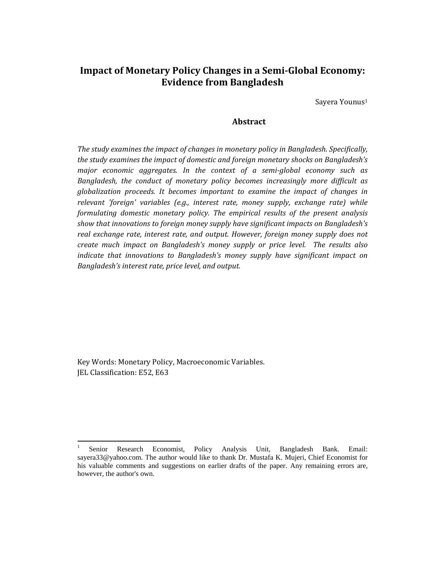### **Impact of Monetary Policy Changes in a SemiGlobal Economy: Evidence from Bangladesh**

Sayera Younus1

#### **Abstract**

*The study examines the impact of changes in monetary policy in Bangladesh. Specifically, the study examines the impact of domestic and foreign monetary shocks on Bangladesh's major economic aggregates. In the context of a semiglobal economy such as Bangladesh, the conduct of monetary policy becomes increasingly more difficult as globalization proceeds. It becomes important to examine the impact of changes in relevant 'foreign' variables (e.g., interest rate, money supply, exchange rate) while formulating domestic monetary policy. The empirical results of the present analysis show that innovations to foreign money supply have significant impacts on Bangladesh's real exchange rate, interest rate, and output. However, foreign money supply does not create much impact on Bangladesh's money supply or price level. The results also indicate that innovations to Bangladesh's money supply have significant impact on Bangladesh's interest rate, price level, and output.* 

Key Words: Monetary Policy, Macroeconomic Variables. JEL Classification: E52, E63

<sup>1</sup> Senior Research Economist, Policy Analysis Unit, Bangladesh Bank. Email: sayera33@yahoo.com. The author would like to thank Dr. Mustafa K. Mujeri, Chief Economist for his valuable comments and suggestions on earlier drafts of the paper. Any remaining errors are, however, the author's own.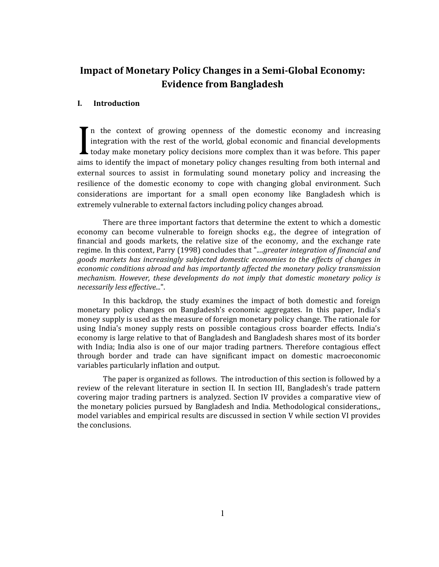### **Impact of Monetary Policy Changes in a SemiGlobal Economy: Evidence from Bangladesh**

#### **I. Introduction**

In the context of growing openness of the domestic economy and increasing integration with the rest of the world, global economic and financial developments today make monetary policy decisions more complex than it was before. This paper aims to identify the impact of monetary policy changes resulting from both internal and external sources to assist in formulating sound monetary policy and increasing the resilience of the domestic economy to cope with changing global environment. Such considerations are important for a small open economy like Bangladesh which is extremely vulnerable to external factors including policy changes abroad. I

There are three important factors that determine the extent to which a domestic economy can become vulnerable to foreign shocks e.g., the degree of integration of financial and goods markets, the relative size of the economy, and the exchange rate regime. In this context, Parry (1998) concludes that "....*greater integration of financial and goods markets has increasingly subjected domestic economies to the effects of changes in economic conditions abroad and has importantly affected the monetary policy transmission mechanism. However, these developments do not imply that domestic monetary policy is necessarily less effective...*".

In this backdrop, the study examines the impact of both domestic and foreign monetary policy changes on Bangladesh's economic aggregates. In this paper, India's money supply is used as the measure of foreign monetary policy change. The rationale for using India's money supply rests on possible contagious cross boarder effects. India's economy is large relative to that of Bangladesh and Bangladesh shares most of its border with India; India also is one of our major trading partners. Therefore contagious effect through border and trade can have significant impact on domestic macroeconomic variables particularly inflation and output.

The paper is organized as follows. The introduction of this section is followed by a review of the relevant literature in section II. In section III, Bangladesh's trade pattern covering major trading partners is analyzed. Section IV provides a comparative view of the monetary policies pursued by Bangladesh and India. Methodological considerations,, model variables and empirical results are discussed in section V while section VI provides the conclusions.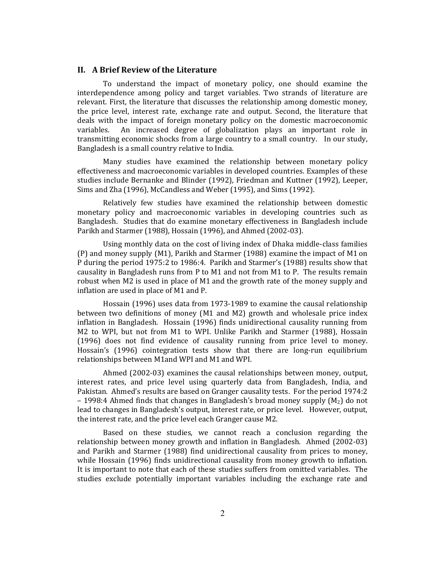#### **II. A Brief Review of the Literature**

To understand the impact of monetary policy, one should examine the interdependence among policy and target variables. Two strands of literature are relevant. First, the literature that discusses the relationship among domestic money, the price level, interest rate, exchange rate and output. Second, the literature that deals with the impact of foreign monetary policy on the domestic macroeconomic variables. An increased degree of globalization plays an important role in transmitting economic shocks from a large country to a small country. In our study, Bangladesh is a small country relative to India.

Many studies have examined the relationship between monetary policy effectiveness and macroeconomic variables in developed countries. Examples of these studies include Bernanke and Blinder (1992), Friedman and Kuttner (1992), Leeper, Sims and Zha (1996), McCandless and Weber (1995), and Sims (1992).

Relatively few studies have examined the relationship between domestic monetary policy and macroeconomic variables in developing countries such as Bangladesh. Studies that do examine monetary effectiveness in Bangladesh include Parikh and Starmer (1988), Hossain (1996), and Ahmed (2002‐03).

Using monthly data on the cost of living index of Dhaka middle‐class families (P) and money supply (M1), Parikh and Starmer (1988) examine the impact of M1 on P during the period 1975:2 to 1986:4. Parikh and Starmer's (1988) results show that causality in Bangladesh runs from P to M1 and not from M1 to P. The results remain robust when M2 is used in place of M1 and the growth rate of the money supply and inflation are used in place of M1 and P.

Hossain (1996) uses data from 1973‐1989 to examine the causal relationship between two definitions of money (M1 and M2) growth and wholesale price index inflation in Bangladesh. Hossain (1996) finds unidirectional causality running from M2 to WPI, but not from M1 to WPI. Unlike Parikh and Starmer (1988), Hossain (1996) does not find evidence of causality running from price level to money. Hossain's (1996) cointegration tests show that there are long-run equilibrium relationships between M1and WPI and M1 and WPI.

Ahmed (2002‐03) examines the causal relationships between money, output, interest rates, and price level using quarterly data from Bangladesh, India, and Pakistan. Ahmed's results are based on Granger causality tests. For the period 1974:2 – 1998:4 Ahmed finds that changes in Bangladesh's broad money supply  $(M_2)$  do not lead to changes in Bangladesh's output, interest rate, or price level. However, output, the interest rate, and the price level each Granger cause M2.

Based on these studies, we cannot reach a conclusion regarding the relationship between money growth and inflation in Bangladesh. Ahmed (2002‐03) and Parikh and Starmer (1988) find unidirectional causality from prices to money, while Hossain (1996) finds unidirectional causality from money growth to inflation. It is important to note that each of these studies suffers from omitted variables. The studies exclude potentially important variables including the exchange rate and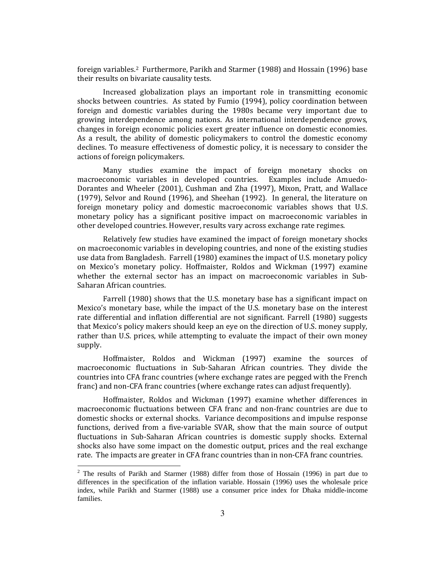foreign variables.2 Furthermore, Parikh and Starmer (1988) and Hossain (1996) base their results on bivariate causality tests.

Increased globalization plays an important role in transmitting economic shocks between countries. As stated by Fumio (1994), policy coordination between foreign and domestic variables during the 1980s became very important due to growing interdependence among nations. As international interdependence grows, changes in foreign economic policies exert greater influence on domestic economies. As a result, the ability of domestic policymakers to control the domestic economy declines. To measure effectiveness of domestic policy, it is necessary to consider the actions of foreign policymakers.

Many studies examine the impact of foreign monetary shocks on macroeconomic variables in developed countries. Examples include Amuedo-Dorantes and Wheeler (2001), Cushman and Zha (1997), Mixon, Pratt, and Wallace (1979), Selvor and Round (1996), and Sheehan (1992). In general, the literature on foreign monetary policy and domestic macroeconomic variables shows that U.S. monetary policy has a significant positive impact on macroeconomic variables in other developed countries. However, results vary across exchange rate regimes.

Relatively few studies have examined the impact of foreign monetary shocks on macroeconomic variables in developing countries, and none of the existing studies use data from Bangladesh. Farrell (1980) examines the impact of U.S. monetary policy on Mexico's monetary policy. Hoffmaister, Roldos and Wickman (1997) examine whether the external sector has an impact on macroeconomic variables in Sub-Saharan African countries.

Farrell (1980) shows that the U.S. monetary base has a significant impact on Mexico's monetary base, while the impact of the U.S. monetary base on the interest rate differential and inflation differential are not significant. Farrell (1980) suggests that Mexico's policy makers should keep an eye on the direction of U.S. money supply, rather than U.S. prices, while attempting to evaluate the impact of their own money supply.

Hoffmaister, Roldos and Wickman (1997) examine the sources of macroeconomic fluctuations in Sub‐Saharan African countries. They divide the countries into CFA franc countries (where exchange rates are pegged with the French franc) and non-CFA franc countries (where exchange rates can adjust frequently).

Hoffmaister, Roldos and Wickman (1997) examine whether differences in macroeconomic fluctuations between CFA franc and non‐franc countries are due to domestic shocks or external shocks. Variance decompositions and impulse response functions, derived from a five-variable SVAR, show that the main source of output fluctuations in Sub‐Saharan African countries is domestic supply shocks. External shocks also have some impact on the domestic output, prices and the real exchange rate. The impacts are greater in CFA franc countries than in non‐CFA franc countries.

<sup>&</sup>lt;sup>2</sup> The results of Parikh and Starmer (1988) differ from those of Hossain (1996) in part due to differences in the specification of the inflation variable. Hossain (1996) uses the wholesale price index, while Parikh and Starmer (1988) use a consumer price index for Dhaka middle-income families.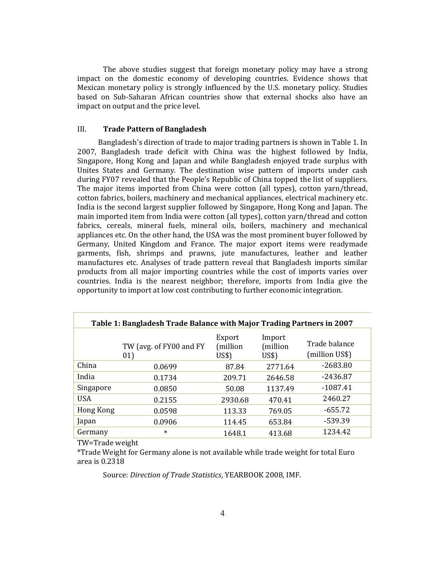The above studies suggest that foreign monetary policy may have a strong impact on the domestic economy of developing countries. Evidence shows that Mexican monetary policy is strongly influenced by the U.S. monetary policy. Studies based on Sub‐Saharan African countries show that external shocks also have an impact on output and the price level.

#### III. **Trade Pattern of Bangladesh**

 Bangladesh's direction of trade to major trading partners is shown in Table 1. In 2007, Bangladesh trade deficit with China was the highest followed by India, Singapore, Hong Kong and Japan and while Bangladesh enjoyed trade surplus with Unites States and Germany. The destination wise pattern of imports under cash during FY07 revealed that the People's Republic of China topped the list of suppliers. The major items imported from China were cotton (all types), cotton yarn/thread, cotton fabrics, boilers, machinery and mechanical appliances, electrical machinery etc. India is the second largest supplier followed by Singapore, Hong Kong and Japan. The main imported item from India were cotton (all types), cotton yarn/thread and cotton fabrics, cereals, mineral fuels, mineral oils, boilers, machinery and mechanical appliances etc. On the other hand, the USA was the most prominent buyer followed by Germany, United Kingdom and France. The major export items were readymade garments, fish, shrimps and prawns, jute manufactures, leather and leather manufactures etc. Analyses of trade pattern reveal that Bangladesh imports similar products from all major importing countries while the cost of imports varies over countries. India is the nearest neighbor; therefore, imports from India give the opportunity to import at low cost contributing to further economic integration.

| Table 1: Bangladesh Trade Balance with Major Trading Partners in 2007 |                                |                             |                             |                                 |  |  |  |  |
|-----------------------------------------------------------------------|--------------------------------|-----------------------------|-----------------------------|---------------------------------|--|--|--|--|
|                                                                       | TW (avg. of FY00 and FY<br>01) | Export<br>(million<br>US\$) | Import<br>million)<br>US\$) | Trade balance<br>(million US\$) |  |  |  |  |
| China                                                                 | 0.0699                         | 87.84                       | 2771.64                     | $-2683.80$                      |  |  |  |  |
| India                                                                 | 0.1734                         | 209.71                      | 2646.58                     | $-2436.87$                      |  |  |  |  |
| Singapore                                                             | 0.0850                         | 50.08                       | 1137.49                     | $-1087.41$                      |  |  |  |  |
| <b>USA</b>                                                            | 0.2155                         | 2930.68                     | 470.41                      | 2460.27                         |  |  |  |  |
| Hong Kong                                                             | 0.0598                         | 113.33                      | 769.05                      | $-655.72$                       |  |  |  |  |
| Japan                                                                 | 0.0906                         | 114.45                      | 653.84                      | -539.39                         |  |  |  |  |
| Germany                                                               | $\ast$                         | 1648.1                      | 413.68                      | 1234.42                         |  |  |  |  |

TW=Trade weight

\*Trade Weight for Germany alone is not available while trade weight for total Euro area is 0.2318

Source: *Direction of Trade Statistics*, YEARBOOK 2008, IMF.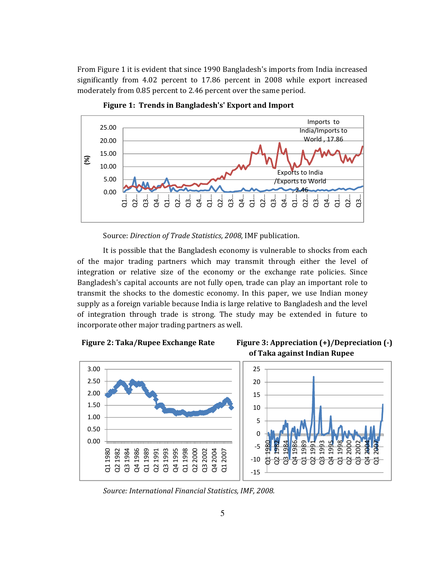From Figure 1 it is evident that since 1990 Bangladesh's imports from India increased significantly from 4.02 percent to 17.86 percent in 2008 while export increased moderately from 0.85 percent to 2.46 percent over the same period.



**Figure 1: Trends in Bangladesh's' Export and Import** 

Source: *Direction of Trade Statistics, 2008,* IMF publication.

It is possible that the Bangladesh economy is vulnerable to shocks from each of the major trading partners which may transmit through either the level of integration or relative size of the economy or the exchange rate policies. Since Bangladesh's capital accounts are not fully open, trade can play an important role to transmit the shocks to the domestic economy. In this paper, we use Indian money supply as a foreign variable because India is large relative to Bangladesh and the level of integration through trade is strong. The study may be extended in future to incorporate other major trading partners as well.





*Source: International Financial Statistics, IMF, 2008.*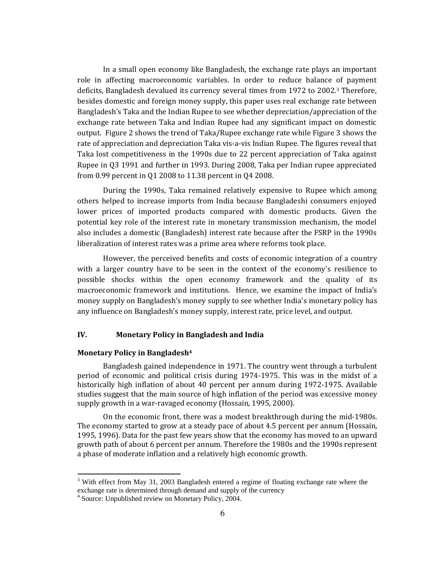In a small open economy like Bangladesh, the exchange rate plays an important role in affecting macroeconomic variables. In order to reduce balance of payment deficits, Bangladesh devalued its currency several times from 1972 to 2002.<sup>3</sup> Therefore, besides domestic and foreign money supply, this paper uses real exchange rate between Bangladesh's Taka and the Indian Rupee to see whether depreciation/appreciation of the exchange rate between Taka and Indian Rupee had any significant impact on domestic output. Figure 2 shows the trend of Taka/Rupee exchange rate while Figure 3 shows the rate of appreciation and depreciation Taka vis‐a‐vis Indian Rupee. The figures reveal that Taka lost competitiveness in the 1990s due to 22 percent appreciation of Taka against Rupee in Q3 1991 and further in 1993. During 2008, Taka per Indian rupee appreciated from 0.99 percent in Q1 2008 to 11.38 percent in Q4 2008.

During the 1990s, Taka remained relatively expensive to Rupee which among others helped to increase imports from India because Bangladeshi consumers enjoyed lower prices of imported products compared with domestic products. Given the potential key role of the interest rate in monetary transmission mechanism, the model also includes a domestic (Bangladesh) interest rate because after the FSRP in the 1990s liberalization of interest rates was a prime area where reforms took place.

However, the perceived benefits and costs of economic integration of a country with a larger country have to be seen in the context of the economy's resilience to possible shocks within the open economy framework and the quality of its macroeconomic framework and institutions. Hence, we examine the impact of India's money supply on Bangladesh's money supply to see whether India's monetary policy has any influence on Bangladesh's money supply, interest rate, price level, and output.

#### **IV. Monetary Policy in Bangladesh and India**

#### **Monetary Policy in Bangladesh4**

Bangladesh gained independence in 1971. The country went through a turbulent period of economic and political crisis during 1974-1975. This was in the midst of a historically high inflation of about 40 percent per annum during 1972‐1975. Available studies suggest that the main source of high inflation of the period was excessive money supply growth in a war-ravaged economy (Hossain, 1995, 2000).

On the economic front, there was a modest breakthrough during the mid‐1980s. The economy started to grow at a steady pace of about 4.5 percent per annum (Hossain, 1995, 1996). Data for the past few years show that the economy has moved to an upward growth path of about 6 percent per annum. Therefore the 1980s and the 1990s represent a phase of moderate inflation and a relatively high economic growth.

<sup>&</sup>lt;sup>3</sup> With effect from May 31, 2003 Bangladesh entered a regime of floating exchange rate where the exchange rate is determined through demand and supply of the currency

<sup>&</sup>lt;sup>4</sup> Source: Unpublished review on Monetary Policy, 2004.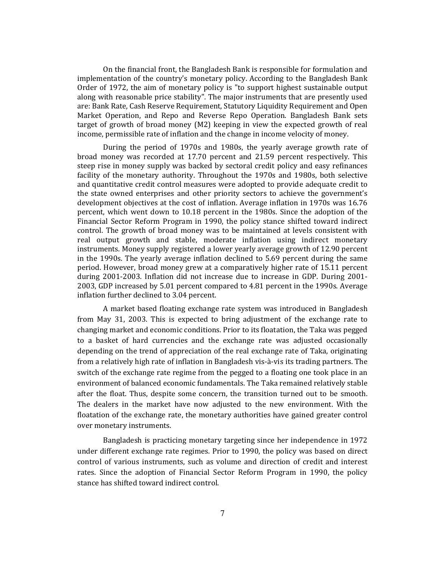On the financial front, the Bangladesh Bank is responsible for formulation and implementation of the country's monetary policy. According to the Bangladesh Bank Order of 1972, the aim of monetary policy is "to support highest sustainable output along with reasonable price stability"*.* The major instruments that are presently used are: Bank Rate, Cash Reserve Requirement, Statutory Liquidity Requirement and Open Market Operation, and Repo and Reverse Repo Operation. Bangladesh Bank sets target of growth of broad money (M2) keeping in view the expected growth of real income, permissible rate of inflation and the change in income velocity of money.

During the period of 1970s and 1980s, the yearly average growth rate of broad money was recorded at 17.70 percent and 21.59 percent respectively. This steep rise in money supply was backed by sectoral credit policy and easy refinances facility of the monetary authority. Throughout the 1970s and 1980s, both selective and quantitative credit control measures were adopted to provide adequate credit to the state owned enterprises and other priority sectors to achieve the government's development objectives at the cost of inflation. Average inflation in 1970s was 16.76 percent, which went down to 10.18 percent in the 1980s. Since the adoption of the Financial Sector Reform Program in 1990, the policy stance shifted toward indirect control. The growth of broad money was to be maintained at levels consistent with real output growth and stable, moderate inflation using indirect monetary instruments. Money supply registered a lower yearly average growth of 12.90 percent in the 1990s. The yearly average inflation declined to 5.69 percent during the same period. However, broad money grew at a comparatively higher rate of 15.11 percent during 2001-2003. Inflation did not increase due to increase in GDP. During 2001-2003, GDP increased by 5.01 percent compared to 4.81 percent in the 1990s. Average inflation further declined to 3.04 percent.

A market based floating exchange rate system was introduced in Bangladesh from May 31, 2003. This is expected to bring adjustment of the exchange rate to changing market and economic conditions. Prior to its floatation, the Taka was pegged to a basket of hard currencies and the exchange rate was adjusted occasionally depending on the trend of appreciation of the real exchange rate of Taka, originating from a relatively high rate of inflation in Bangladesh vis‐à‐vis its trading partners. The switch of the exchange rate regime from the pegged to a floating one took place in an environment of balanced economic fundamentals. The Taka remained relatively stable after the float. Thus, despite some concern, the transition turned out to be smooth. The dealers in the market have now adjusted to the new environment. With the floatation of the exchange rate, the monetary authorities have gained greater control over monetary instruments.

Bangladesh is practicing monetary targeting since her independence in 1972 under different exchange rate regimes. Prior to 1990, the policy was based on direct control of various instruments, such as volume and direction of credit and interest rates. Since the adoption of Financial Sector Reform Program in 1990, the policy stance has shifted toward indirect control.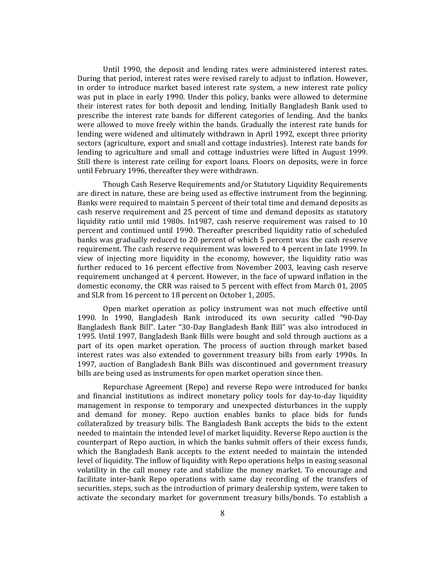Until 1990, the deposit and lending rates were administered interest rates. During that period, interest rates were revised rarely to adjust to inflation. However, in order to introduce market based interest rate system, a new interest rate policy was put in place in early 1990. Under this policy, banks were allowed to determine their interest rates for both deposit and lending. Initially Bangladesh Bank used to prescribe the interest rate bands for different categories of lending. And the banks were allowed to move freely within the bands. Gradually the interest rate bands for lending were widened and ultimately withdrawn in April 1992, except three priority sectors (agriculture, export and small and cottage industries). Interest rate bands for lending to agriculture and small and cottage industries were lifted in August 1999. Still there is interest rate ceiling for export loans. Floors on deposits, were in force until February 1996, thereafter they were withdrawn.

Though Cash Reserve Requirements and/or Statutory Liquidity Requirements are direct in nature, these are being used as effective instrument from the beginning. Banks were required to maintain 5 percent of their total time and demand deposits as cash reserve requirement and 25 percent of time and demand deposits as statutory liquidity ratio until mid 1980s. In1987, cash reserve requirement was raised to 10 percent and continued until 1990. Thereafter prescribed liquidity ratio of scheduled banks was gradually reduced to 20 percent of which 5 percent was the cash reserve requirement. The cash reserve requirement was lowered to 4 percent in late 1999. In view of injecting more liquidity in the economy, however, the liquidity ratio was further reduced to 16 percent effective from November 2003, leaving cash reserve requirement unchanged at 4 percent. However, in the face of upward inflation in the domestic economy, the CRR was raised to 5 percent with effect from March 01, 2005 and SLR from 16 percent to 18 percent on October 1, 2005.

Open market operation as policy instrument was not much effective until 1990. In 1990, Bangladesh Bank introduced its own security called "90‐Day Bangladesh Bank Bill". Later "30‐Day Bangladesh Bank Bill" was also introduced in 1995. Until 1997, Bangladesh Bank Bills were bought and sold through auctions as a part of its open market operation. The process of auction through market based interest rates was also extended to government treasury bills from early 1990s. In 1997, auction of Bangladesh Bank Bills was discontinued and government treasury bills are being used as instruments for open market operation since then.

Repurchase Agreement (Repo) and reverse Repo were introduced for banks and financial institutions as indirect monetary policy tools for day-to-day liquidity management in response to temporary and unexpected disturbances in the supply and demand for money. Repo auction enables banks to place bids for funds collateralized by treasury bills. The Bangladesh Bank accepts the bids to the extent needed to maintain the intended level of market liquidity. Reverse Repo auction is the counterpart of Repo auction, in which the banks submit offers of their excess funds, which the Bangladesh Bank accepts to the extent needed to maintain the intended level of liquidity. The inflow of liquidity with Repo operations helps in easing seasonal volatility in the call money rate and stabilize the money market. To encourage and facilitate inter-bank Repo operations with same day recording of the transfers of securities, steps, such as the introduction of primary dealership system, were taken to activate the secondary market for government treasury bills/bonds. To establish a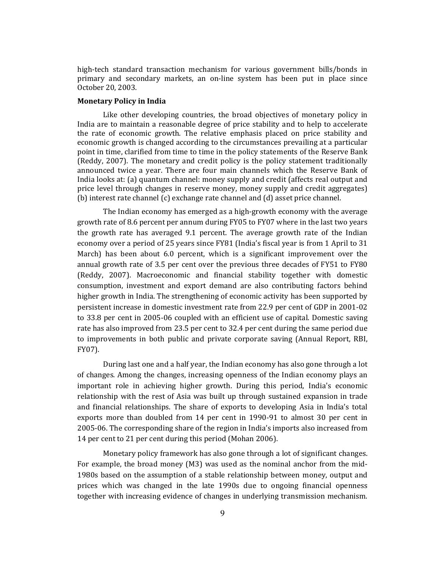high-tech standard transaction mechanism for various government bills/bonds in primary and secondary markets, an on-line system has been put in place since October 20, 2003.

#### **Monetary Policy in India**

Like other developing countries, the broad objectives of monetary policy in India are to maintain a reasonable degree of price stability and to help to accelerate the rate of economic growth. The relative emphasis placed on price stability and economic growth is changed according to the circumstances prevailing at a particular point in time, clarified from time to time in the policy statements of the Reserve Bank (Reddy, 2007). The monetary and credit policy is the policy statement traditionally announced twice a year. There are four main channels which the Reserve Bank of India looks at: (a) quantum channel: money supply and credit (affects real output and price level through changes in reserve money, money supply and credit aggregates) (b) interest rate channel (c) exchange rate channel and (d) asset price channel.

The Indian economy has emerged as a high‐growth economy with the average growth rate of 8.6 percent per annum during FY05 to FY07 where in the last two years the growth rate has averaged 9.1 percent. The average growth rate of the Indian economy over a period of 25 years since FY81 (India's fiscal year is from 1 April to 31 March) has been about 6.0 percent, which is a significant improvement over the annual growth rate of 3.5 per cent over the previous three decades of FY51 to FY80 (Reddy, 2007). Macroeconomic and financial stability together with domestic consumption, investment and export demand are also contributing factors behind higher growth in India. The strengthening of economic activity has been supported by persistent increase in domestic investment rate from 22.9 per cent of GDP in 2001‐02 to 33.8 per cent in 2005‐06 coupled with an efficient use of capital. Domestic saving rate has also improved from 23.5 per cent to 32.4 per cent during the same period due to improvements in both public and private corporate saving (Annual Report, RBI, FY07).

During last one and a half year, the Indian economy has also gone through a lot of changes. Among the changes, increasing openness of the Indian economy plays an important role in achieving higher growth. During this period, India's economic relationship with the rest of Asia was built up through sustained expansion in trade and financial relationships. The share of exports to developing Asia in India's total exports more than doubled from 14 per cent in 1990-91 to almost 30 per cent in 2005‐06. The corresponding share of the region in India's imports also increased from 14 per cent to 21 per cent during this period (Mohan 2006).

Monetary policy framework has also gone through a lot of significant changes. For example, the broad money (M3) was used as the nominal anchor from the mid-1980s based on the assumption of a stable relationship between money, output and prices which was changed in the late 1990s due to ongoing financial openness together with increasing evidence of changes in underlying transmission mechanism.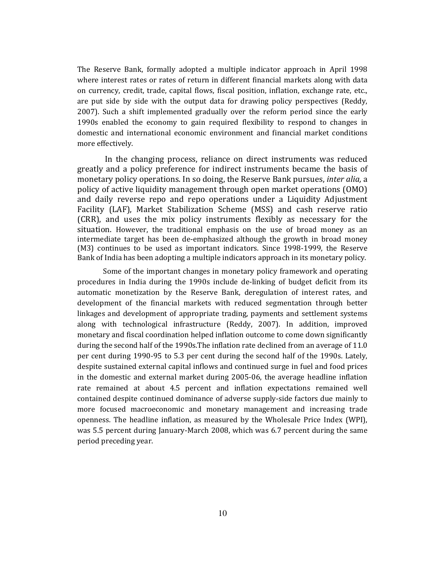The Reserve Bank, formally adopted a multiple indicator approach in April 1998 where interest rates or rates of return in different financial markets along with data on currency, credit, trade, capital flows, fiscal position, inflation, exchange rate, etc., are put side by side with the output data for drawing policy perspectives (Reddy, 2007). Such a shift implemented gradually over the reform period since the early 1990s enabled the economy to gain required flexibility to respond to changes in domestic and international economic environment and financial market conditions more effectively.

 In the changing process, reliance on direct instruments was reduced greatly and a policy preference for indirect instruments became the basis of monetary policy operations. In so doing, the Reserve Bank pursues, *inter alia,* a policy of active liquidity management through open market operations (OMO) and daily reverse repo and repo operations under a Liquidity Adjustment Facility (LAF), Market Stabilization Scheme (MSS) and cash reserve ratio (CRR), and uses the mix policy instruments flexibly as necessary for the situation. However, the traditional emphasis on the use of broad money as an intermediate target has been de-emphasized although the growth in broad money (M3) continues to be used as important indicators. Since 1998‐1999, the Reserve Bank of India has been adopting a multiple indicators approach in its monetary policy.

Some of the important changes in monetary policy framework and operating procedures in India during the 1990s include de-linking of budget deficit from its automatic monetization by the Reserve Bank, deregulation of interest rates, and development of the financial markets with reduced segmentation through better linkages and development of appropriate trading, payments and settlement systems along with technological infrastructure (Reddy, 2007). In addition, improved monetary and fiscal coordination helped inflation outcome to come down significantly during the second half of the 1990s.The inflation rate declined from an average of 11.0 per cent during 1990‐95 to 5.3 per cent during the second half of the 1990s. Lately, despite sustained external capital inflows and continued surge in fuel and food prices in the domestic and external market during 2005‐06, the average headline inflation rate remained at about 4.5 percent and inflation expectations remained well contained despite continued dominance of adverse supply‐side factors due mainly to more focused macroeconomic and monetary management and increasing trade openness. The headline inflation, as measured by the Wholesale Price Index (WPI), was 5.5 percent during January‐March 2008, which was 6.7 percent during the same period preceding year.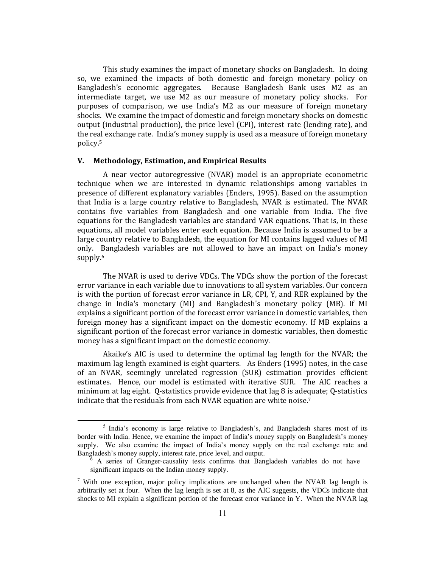This study examines the impact of monetary shocks on Bangladesh. In doing so, we examined the impacts of both domestic and foreign monetary policy on Bangladesh's economic aggregates. Because Bangladesh Bank uses M2 as an intermediate target, we use M2 as our measure of monetary policy shocks. For purposes of comparison, we use India's M2 as our measure of foreign monetary shocks. We examine the impact of domestic and foreign monetary shocks on domestic output (industrial production), the price level (CPI), interest rate (lending rate), and the real exchange rate. India's money supply is used as a measure of foreign monetary policy.5

#### **V. Methodology, Estimation, and Empirical Results**

A near vector autoregressive (NVAR) model is an appropriate econometric technique when we are interested in dynamic relationships among variables in presence of different explanatory variables (Enders, 1995). Based on the assumption that India is a large country relative to Bangladesh, NVAR is estimated. The NVAR contains five variables from Bangladesh and one variable from India. The five equations for the Bangladesh variables are standard VAR equations. That is, in these equations, all model variables enter each equation. Because India is assumed to be a large country relative to Bangladesh, the equation for MI contains lagged values of MI only. Bangladesh variables are not allowed to have an impact on India's money supply.<sup>6</sup>

The NVAR is used to derive VDCs. The VDCs show the portion of the forecast error variance in each variable due to innovations to all system variables. Our concern is with the portion of forecast error variance in LR, CPI, Y, and RER explained by the change in India's monetary (MI) and Bangladesh's monetary policy (MB). If MI explains a significant portion of the forecast error variance in domestic variables, then foreign money has a significant impact on the domestic economy. If MB explains a significant portion of the forecast error variance in domestic variables, then domestic money has a significant impact on the domestic economy.

Akaike's AIC is used to determine the optimal lag length for the NVAR; the maximum lag length examined is eight quarters. As Enders (1995) notes, in the case of an NVAR, seemingly unrelated regression (SUR) estimation provides efficient estimates. Hence, our model is estimated with iterative SUR. The AIC reaches a minimum at lag eight. O-statistics provide evidence that lag 8 is adequate; O-statistics indicate that the residuals from each NVAR equation are white noise.7

<sup>&</sup>lt;sup>5</sup> India's economy is large relative to Bangladesh's, and Bangladesh shares most of its border with India. Hence, we examine the impact of India's money supply on Bangladesh's money supply. We also examine the impact of India's money supply on the real exchange rate and Bangladesh's money supply, interest rate, price level, and output.

 $6$  A series of Granger-causality tests confirms that Bangladesh variables do not have significant impacts on the Indian money supply.

<sup>&</sup>lt;sup>7</sup> With one exception, major policy implications are unchanged when the NVAR lag length is arbitrarily set at four. When the lag length is set at 8, as the AIC suggests, the VDCs indicate that shocks to MI explain a significant portion of the forecast error variance in Y. When the NVAR lag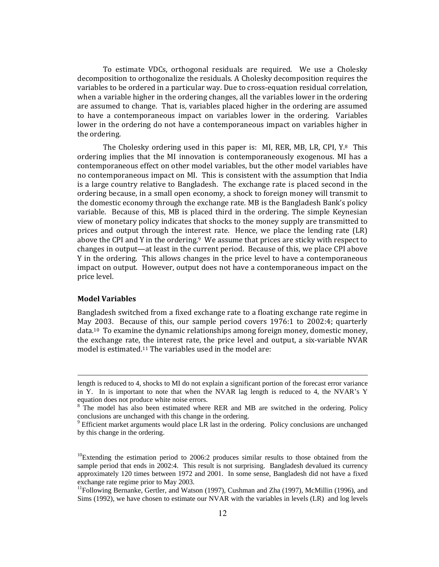To estimate VDCs, orthogonal residuals are required. We use a Cholesky decomposition to orthogonalize the residuals. A Cholesky decomposition requires the variables to be ordered in a particular way. Due to cross-equation residual correlation, when a variable higher in the ordering changes, all the variables lower in the ordering are assumed to change. That is, variables placed higher in the ordering are assumed to have a contemporaneous impact on variables lower in the ordering. Variables lower in the ordering do not have a contemporaneous impact on variables higher in the ordering.

The Cholesky ordering used in this paper is: MI, RER, MB, LR, CPI,  $Y_{\cdot}^{8}$  This ordering implies that the MI innovation is contemporaneously exogenous. MI has a contemporaneous effect on other model variables, but the other model variables have no contemporaneous impact on MI. This is consistent with the assumption that India is a large country relative to Bangladesh. The exchange rate is placed second in the ordering because, in a small open economy, a shock to foreign money will transmit to the domestic economy through the exchange rate. MB is the Bangladesh Bank's policy variable. Because of this, MB is placed third in the ordering. The simple Keynesian view of monetary policy indicates that shocks to the money supply are transmitted to prices and output through the interest rate. Hence, we place the lending rate  $(LR)$ above the CPI and Y in the ordering. $9\text{ }\text{We assume that prices are tricky with respect to }$ changes in output—at least in the current period. Because of this, we place CPI above Y in the ordering. This allows changes in the price level to have a contemporaneous impact on output. However, output does not have a contemporaneous impact on the price level.

#### **Model Variables**

Bangladesh switched from a fixed exchange rate to a floating exchange rate regime in May 2003. Because of this, our sample period covers 1976:1 to 2002:4; quarterly data.10 To examine the dynamic relationships among foreign money, domestic money, the exchange rate, the interest rate, the price level and output, a six‐variable NVAR model is estimated.11 The variables used in the model are:

<u> 1989 - Johann Barn, mars ann an t-Amhain ann an t-Amhain ann an t-Amhain ann an t-Amhain an t-Amhain ann an t-</u>

length is reduced to 4, shocks to MI do not explain a significant portion of the forecast error variance in Y. In is important to note that when the NVAR lag length is reduced to 4, the NVAR's Y equation does not produce white noise errors.

<sup>&</sup>lt;sup>8</sup> The model has also been estimated where RER and MB are switched in the ordering. Policy conclusions are unchanged with this change in the ordering.

<sup>&</sup>lt;sup>9</sup> Efficient market arguments would place LR last in the ordering. Policy conclusions are unchanged by this change in the ordering.

 $^{10}$ Extending the estimation period to 2006:2 produces similar results to those obtained from the sample period that ends in 2002:4. This result is not surprising. Bangladesh devalued its currency approximately 120 times between 1972 and 2001. In some sense, Bangladesh did not have a fixed exchange rate regime prior to May 2003.

 $<sup>11</sup>$ Following Bernanke, Gertler, and Watson (1997), Cushman and Zha (1997), McMillin (1996), and</sup> Sims (1992), we have chosen to estimate our NVAR with the variables in levels (LR) and log levels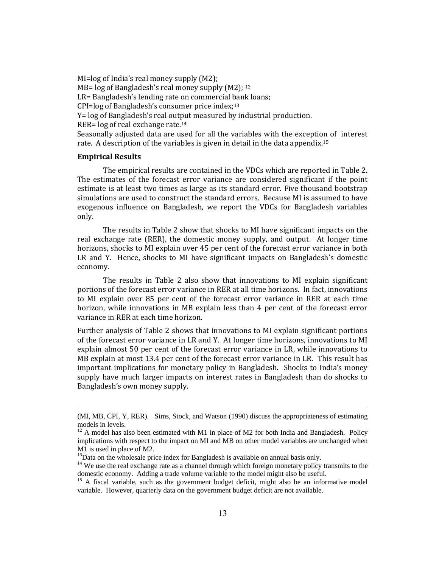MI=log of India's real money supply (M2); MB= log of Bangladesh's real money supply (M2); 12 LR= Bangladesh's lending rate on commercial bank loans; CPI=log of Bangladesh's consumer price index;13 Y= log of Bangladesh's real output measured by industrial production. RER= log of real exchange rate.14 Seasonally adjusted data are used for all the variables with the exception of interest rate. A description of the variables is given in detail in the data appendix.15

#### **Empirical Results**

The empirical results are contained in the VDCs which are reported in Table 2. The estimates of the forecast error variance are considered significant if the point estimate is at least two times as large as its standard error. Five thousand bootstrap simulations are used to construct the standard errors. Because MI is assumed to have exogenous influence on Bangladesh, we report the VDCs for Bangladesh variables only.

The results in Table 2 show that shocks to MI have significant impacts on the real exchange rate (RER), the domestic money supply, and output. At longer time horizons, shocks to MI explain over 45 per cent of the forecast error variance in both LR and Y. Hence, shocks to MI have significant impacts on Bangladesh's domestic economy.

The results in Table 2 also show that innovations to MI explain significant portions of the forecast error variance in RER at all time horizons. In fact, innovations to MI explain over 85 per cent of the forecast error variance in RER at each time horizon, while innovations in MB explain less than 4 per cent of the forecast error variance in RER at each time horizon.

Further analysis of Table 2 shows that innovations to MI explain significant portions of the forecast error variance in LR and Y. At longer time horizons, innovations to MI explain almost 50 per cent of the forecast error variance in LR, while innovations to MB explain at most 13.4 per cent of the forecast error variance in LR. This result has important implications for monetary policy in Bangladesh. Shocks to India's money supply have much larger impacts on interest rates in Bangladesh than do shocks to Bangladesh's own money supply.

<sup>&</sup>lt;u> Andrewski politika (za obrazu za obrazu za obrazu za obrazu za obrazu za obrazu za obrazu za obrazu za obrazu</u> (MI, MB, CPI, Y, RER). Sims, Stock, and Watson (1990) discuss the appropriateness of estimating models in levels.

 $12$  A model has also been estimated with M1 in place of M2 for both India and Bangladesh. Policy implications with respect to the impact on MI and MB on other model variables are unchanged when M1 is used in place of M2.<br> $^{13}$ Data on the wholesale price index for Bangladesh is available on annual basis only.

 $14$  We use the real exchange rate as a channel through which foreign monetary policy transmits to the domestic economy. Adding a trade volume variable to the model might also be useful.

<sup>&</sup>lt;sup>15</sup> A fiscal variable, such as the government budget deficit, might also be an informative model variable. However, quarterly data on the government budget deficit are not available.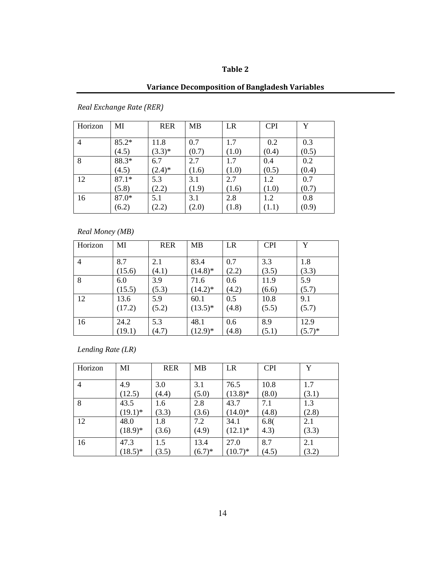### **Table 2**

### **Variance Decomposition of Bangladesh Variables**

| Horizon        | МI      | <b>RER</b> | <b>MB</b> | LR    | <b>CPI</b> | v     |
|----------------|---------|------------|-----------|-------|------------|-------|
| $\overline{4}$ | $85.2*$ | 11.8       | 0.7       | 1.7   | 0.2        | 0.3   |
| 8              | (4.5)   | $(3.3)*$   | (0.7)     | (1.0) | (0.4)      | (0.5) |
|                | 88.3*   | 6.7        | 2.7       | 1.7   | 0.4        | 0.2   |
| 12             | (4.5)   | $(2.4)^*$  | (1.6)     | (1.0) | (0.5)      | (0.4) |
|                | $87.1*$ | 5.3        | 3.1       | 2.7   | 1.2        | 0.7   |
| 16             | (5.8)   | (2.2)      | (1.9)     | (1.6) | (1.0)      | (0.7) |
|                | 87.0*   | 5.1        | 3.1       | 2.8   | 1.2        | 0.8   |
|                | (6.2)   | (2.2)      | (2.0)     | (1.8) | (1.1)      | (0.9) |

*Real Exchange Rate (RER)* 

*Real Money (MB)* 

| Horizon        | MI     | <b>RER</b> | <b>MB</b>  | LR    | <b>CPI</b> | Y         |
|----------------|--------|------------|------------|-------|------------|-----------|
|                |        |            |            |       |            |           |
| $\overline{4}$ | 8.7    | 2.1        | 83.4       | 0.7   | 3.3        | 1.8       |
|                | (15.6) | (4.1)      | $(14.8)$ * | (2.2) | (3.5)      | (3.3)     |
| 8              | 6.0    | 3.9        | 71.6       | 0.6   | 11.9       | 5.9       |
|                | (15.5) | (5.3)      | $(14.2)^*$ | (4.2) | (6.6)      | (5.7)     |
| 12             | 13.6   | 5.9        | 60.1       | 0.5   | 10.8       | 9.1       |
|                | (17.2) | (5.2)      | $(13.5)^*$ | (4.8) | (5.5)      | (5.7)     |
| 16             | 24.2   | 5.3        | 48.1       | 0.6   | 8.9        | 12.9      |
|                | (19.1) | (4.7)      | $(12.9)*$  | (4.8) | (5.1)      | $(5.7)^*$ |

*Lending Rate (LR)* 

| Horizon        | MI         | <b>RER</b> | <b>MB</b> | LR         | <b>CPI</b> | Y     |
|----------------|------------|------------|-----------|------------|------------|-------|
| $\overline{4}$ | 4.9        | 3.0        | 3.1       | 76.5       | 10.8       | 1.7   |
|                | (12.5)     | (4.4)      | (5.0)     | $(13.8)*$  | (8.0)      | (3.1) |
| 8              | 43.5       | 1.6        | 2.8       | 43.7       | 7.1        | 1.3   |
|                | $(19.1)^*$ | (3.3)      | (3.6)     | $(14.0)*$  | (4.8)      | (2.8) |
| 12             | 48.0       | 1.8        | 7.2       | 34.1       | 6.8(       | 2.1   |
|                | $(18.9)*$  | (3.6)      | (4.9)     | $(12.1)^*$ | (4.3)      | (3.3) |
| 16             | 47.3       | 1.5        | 13.4      | 27.0       | 8.7        | 2.1   |
|                | $(18.5)^*$ | (3.5)      | $(6.7)*$  | $(10.7)^*$ | (4.5)      | (3.2) |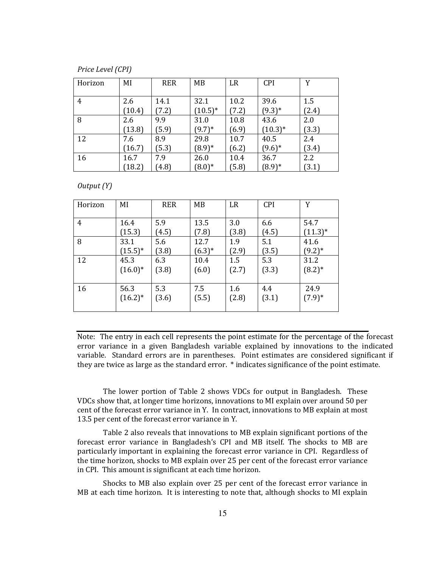*Price Level (CPI)*

| Horizon | MI     | <b>RER</b> | MB         | LR    | <b>CPI</b> | Y     |
|---------|--------|------------|------------|-------|------------|-------|
|         |        |            |            |       |            |       |
| 4       | 2.6    | 14.1       | 32.1       | 10.2  | 39.6       | 1.5   |
|         | (10.4) | (7.2)      | $(10.5)^*$ | (7.2) | $(9.3)*$   | (2.4) |
| 8       | 2.6    | 9.9        | 31.0       | 10.8  | 43.6       | 2.0   |
|         | (13.8) | (5.9)      | $(9.7)^*$  | (6.9) | $(10.3)*$  | (3.3) |
| 12      | 7.6    | 8.9        | 29.8       | 10.7  | 40.5       | 2.4   |
|         | (16.7) | (5.3)      | $(8.9)*$   | (6.2) | $(9.6)*$   | (3.4) |
| 16      | 16.7   | 7.9        | 26.0       | 10.4  | 36.7       | 2.2   |
|         | (18.2) | (4.8)      | $(8.0)*$   | (5.8) | $(8.9)*$   | (3.1) |

*Output (Y)*

| Horizon | MI         | <b>RER</b> | MB       | LR    | <b>CPI</b> | Y         |
|---------|------------|------------|----------|-------|------------|-----------|
| 4       | 16.4       | 5.9        | 13.5     | 3.0   | 6.6        | 54.7      |
|         | (15.3)     | (4.5)      | (7.8)    | (3.8) | (4.5)      | $(11.3)*$ |
| 8       | 33.1       | 5.6        | 12.7     | 1.9   | 5.1        | 41.6      |
|         | $(15.5)^*$ | (3.8)      | $(6.3)*$ | (2.9) | (3.5)      | $(9.2)*$  |
| 12      | 45.3       | 6.3        | 10.4     | 1.5   | 5.3        | 31.2      |
|         | $(16.0)*$  | (3.8)      | (6.0)    | (2.7) | (3.3)      | $(8.2)*$  |
| 16      | 56.3       | 5.3        | 7.5      | 1.6   | 4.4        | 24.9      |
|         | $(16.2)^*$ | (3.6)      | (5.5)    | (2.8) | (3.1)      | $(7.9)*$  |

Note: The entry in each cell represents the point estimate for the percentage of the forecast error variance in a given Bangladesh variable explained by innovations to the indicated variable. Standard errors are in parentheses. Point estimates are considered significant if they are twice as large as the standard error. \* indicates significance of the point estimate.

The lower portion of Table 2 shows VDCs for output in Bangladesh. These VDCs show that, at longer time horizons, innovations to MI explain over around 50 per cent of the forecast error variance in Y. In contract, innovations to MB explain at most 13.5 per cent of the forecast error variance in Y.

Table 2 also reveals that innovations to MB explain significant portions of the forecast error variance in Bangladesh's CPI and MB itself. The shocks to MB are particularly important in explaining the forecast error variance in CPI. Regardless of the time horizon, shocks to MB explain over 25 per cent of the forecast error variance in CPI. This amount is significant at each time horizon.

Shocks to MB also explain over 25 per cent of the forecast error variance in MB at each time horizon. It is interesting to note that, although shocks to MI explain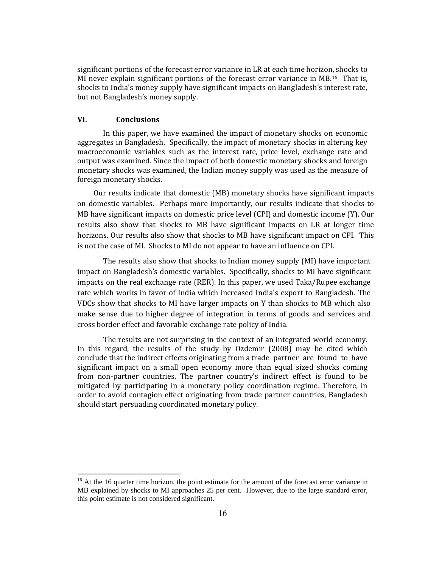significant portions of the forecast error variance in LR at each time horizon, shocks to MI never explain significant portions of the forecast error variance in  $MB<sup>16</sup>$  That is, shocks to India's money supply have significant impacts on Bangladesh's interest rate, but not Bangladesh's money supply.

#### **VI. Conclusions**

In this paper, we have examined the impact of monetary shocks on economic aggregates in Bangladesh. Specifically, the impact of monetary shocks in altering key macroeconomic variables such as the interest rate, price level, exchange rate and output was examined. Since the impact of both domestic monetary shocks and foreign monetary shocks was examined, the Indian money supply was used as the measure of foreign monetary shocks.

Our results indicate that domestic (MB) monetary shocks have significant impacts on domestic variables. Perhaps more importantly, our results indicate that shocks to MB have significant impacts on domestic price level (CPI) and domestic income (Y). Our results also show that shocks to MB have significant impacts on LR at longer time horizons. Our results also show that shocks to MB have significant impact on CPI. This is not the case of MI. Shocks to MI do not appear to have an influence on CPI.

The results also show that shocks to Indian money supply (MI) have important impact on Bangladesh's domestic variables. Specifically, shocks to MI have significant impacts on the real exchange rate (RER). In this paper, we used Taka/Rupee exchange rate which works in favor of India which increased India's export to Bangladesh. The VDCs show that shocks to MI have larger impacts on Y than shocks to MB which also make sense due to higher degree of integration in terms of goods and services and cross border effect and favorable exchange rate policy of India.

The results are not surprising in the context of an integrated world economy. In this regard, the results of the study by Ozdemir (2008) may be cited which conclude that the indirect effects originating from a trade partner are found to have significant impact on a small open economy more than equal sized shocks coming from non‐partner countries. The partner country's indirect effect is found to be mitigated by participating in a monetary policy coordination regime. Therefore, in order to avoid contagion effect originating from trade partner countries, Bangladesh should start persuading coordinated monetary policy.

<sup>&</sup>lt;sup>16</sup> At the 16 quarter time horizon, the point estimate for the amount of the forecast error variance in MB explained by shocks to MI approaches 25 per cent. However, due to the large standard error, this point estimate is not considered significant.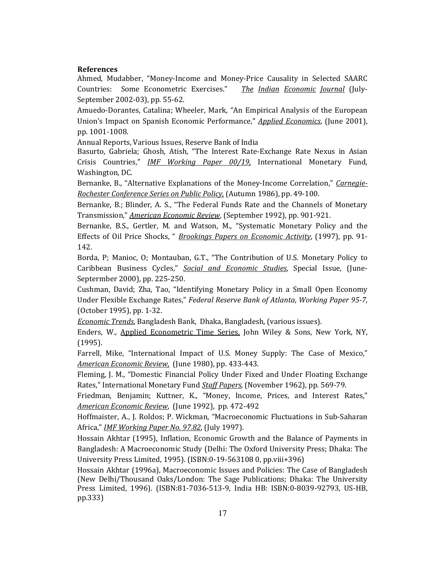#### **References**

Ahmed, Mudabber, "Money‐Income and Money‐Price Causality in Selected SAARC Countries: Some Econometric Exercises." *The Indian Economic Journal* (July‐ September 2002‐03), pp. 55‐62.

Amuedo‐Dorantes, Catalina; Wheeler, Mark, "An Empirical Analysis of the European Union's Impact on Spanish Economic Performance," *Applied Economics*, (June 2001), pp. 1001‐1008.

Annual Reports, Various Issues, Reserve Bank of India

Basurto, Gabriela; Ghosh, Atish, "The Interest Rate‐Exchange Rate Nexus in Asian Crisis Countries," *IMF Working Paper 00/19,* International Monetary Fund, Washington, DC.

Bernanke, B., "Alternative Explanations of the Money‐Income Correlation," *Carnegie-Rochester Conference Series on Public Policy,* (Autumn 1986), pp. 49‐100.

Bernanke, B.; Blinder, A. S., "The Federal Funds Rate and the Channels of Monetary Transmission," *American Economic Review*, (September 1992), pp. 901‐921.

Bernanke, B.S., Gertler, M. and Watson, M., "Systematic Monetary Policy and the Effects of Oil Price Shocks, " *Brookings Papers on Economic Activity*, (1997), pp. 91‐ 142.

Borda, P; Manioc, O; Montauban, G.T., "The Contribution of U.S. Monetary Policy to Caribbean Business Cycles," *Social and Economic Studies*, Special Issue, (June‐ Septermber 2000), pp. 225‐250.

Cushman, David; Zha, Tao, "Identifying Monetary Policy in a Small Open Economy Under Flexible Exchange Rates," *Federal Reserve Bank of Atlanta*, *Working Paper 957,* (October 1995), pp. 1‐32.

*Economic Trends*, Bangladesh Bank, Dhaka, Bangladesh, (various issues).

Enders, W., Applied Econometric Time Series, John Wiley & Sons, New York, NY, (1995).

Farrell, Mike, "International Impact of U.S. Money Supply: The Case of Mexico," *American Economic Review,* (June 1980), pp. 433‐443.

Fleming, J. M., "Domestic Financial Policy Under Fixed and Under Floating Exchange Rates," International Monetary Fund *Staff Papers*, (November 1962), pp. 569‐79.

Friedman, Benjamin; Kuttner, K., "Money, Income, Prices, and Interest Rates," *American Economic Review*, (June 1992), pp. 472‐492

Hoffmaister, A., J. Roldos; P. Wickman, "Macroeconomic Fluctuations in Sub‐Saharan Africa," *IMF Working Paper No. 97.82*, (July 1997).

Hossain Akhtar (1995), Inflation, Economic Growth and the Balance of Payments in Bangladesh: A Macroeconomic Study (Delhi: The Oxford University Press; Dhaka: The University Press Limited, 1995). (ISBN:0‐19‐563108 0, pp.viii+396)

Hossain Akhtar (1996a), Macroeconomic Issues and Policies: The Case of Bangladesh (New Delhi/Thousand Oaks/London: The Sage Publications; Dhaka: The University Press Limited, 1996). (ISBN:81‐7036‐513‐9, India HB: ISBN:0‐8039‐92793, US‐HB, pp.333)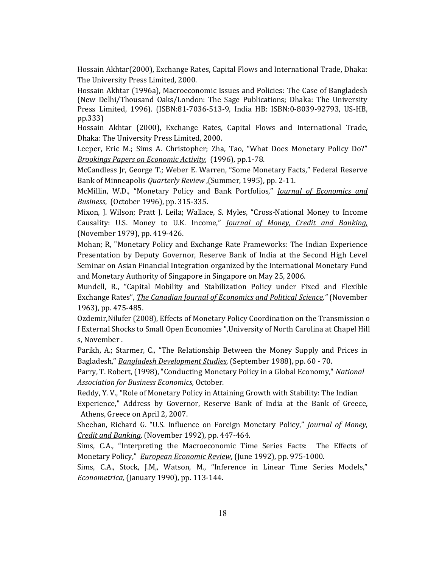Hossain Akhtar(2000), Exchange Rates, Capital Flows and International Trade, Dhaka: The University Press Limited, 2000.

Hossain Akhtar (1996a), Macroeconomic Issues and Policies: The Case of Bangladesh (New Delhi/Thousand Oaks/London: The Sage Publications; Dhaka: The University Press Limited, 1996). (ISBN:81‐7036‐513‐9, India HB: ISBN:0‐8039‐92793, US‐HB, pp.333)

 Hossain Akhtar (2000), Exchange Rates, Capital Flows and International Trade, Dhaka: The University Press Limited, 2000.

Leeper, Eric M.; Sims A. Christopher; Zha, Tao, "What Does Monetary Policy Do?" *Brookings Papers on Economic Activity,* (1996), pp.1‐78.

McCandless Jr, George T.; Weber E. Warren, "Some Monetary Facts," Federal Reserve Bank of Minneapolis *Quarterly Review* ,(Summer, 1995), pp. 2‐11.

McMillin, W.D., "Monetary Policy and Bank Portfolios," *Journal of Economics and Business*, (October 1996), pp. 315‐335.

Mixon, J. Wilson; Pratt J. Leila; Wallace, S. Myles, "Cross-National Money to Income Causality: U.S. Money to U.K. Income," *Journal of Money, Credit and Banking,* (November 1979), pp. 419‐426.

Mohan; R, "Monetary Policy and Exchange Rate Frameworks: The Indian Experience Presentation by Deputy Governor, Reserve Bank of India at the Second High Level Seminar on Asian Financial Integration organized by the International Monetary Fund and Monetary Authority of Singapore in Singapore on May 25, 2006.

Mundell, R., "Capital Mobility and Stabilization Policy under Fixed and Flexible Exchange Rates", *The Canadian Journal of Economics and Political Science,"* (November 1963), pp. 475‐485.

Ozdemir,Nilufer (2008), Effects of Monetary Policy Coordination on the Transmission o f External Shocks to Small Open Economies ",University of North Carolina at Chapel Hill s, November .

Parikh, A.; Starmer, C., "The Relationship Between the Money Supply and Prices in Bagladesh," *Bangladesh Development Studies*, (September 1988), pp. 60 ‐ 70.

Parry, T. Robert, (1998), "Conducting Monetary Policy in a Global Economy," *National Association for Business Economics,* October.

Reddy, Y. V., "Role of Monetary Policy in Attaining Growth with Stability: The Indian Experience," Address by Governor, Reserve Bank of India at the Bank of Greece, Athens, Greece on April 2, 2007.

Sheehan, Richard G. "U.S. Influence on Foreign Monetary Policy," *Journal of Money, Credit and Banking,* (November 1992), pp. 447‐464.

Sims, C.A., "Interpreting the Macroeconomic Time Series Facts: The Effects of Monetary Policy," *European Economic Review*, (June 1992), pp. 975‐1000.

Sims, C.A., Stock, J.M,, Watson, M., "Inference in Linear Time Series Models," *Econometrica,* (January 1990), pp. 113‐144.